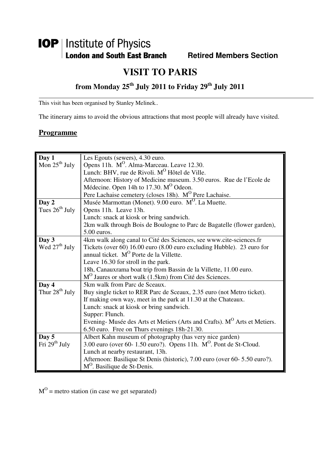# **IOP** | Institute of Physics **London and South East Branch Fighter Heritage Members Section**

# **VISIT TO PARIS**

# **from Monday 25th July 2011 to Friday 29th July 2011**

This visit has been organised by Stanley Melinek..

The itinerary aims to avoid the obvious attractions that most people will already have visited.

#### **Programme**

| Day 1                      | Les Egouts (sewers), 4.30 euro.                                                       |
|----------------------------|---------------------------------------------------------------------------------------|
| Mon $25^{\text{th}}$ July  | Opens 11h. M <sup>O</sup> . Alma-Marceau. Leave 12.30.                                |
|                            | Lunch: BHV, rue de Rivoli. M <sup>O</sup> Hôtel de Ville.                             |
|                            | Afternoon: History of Medicine museum. 3.50 euros. Rue de l'Ecole de                  |
|                            | Médecine. Open 14h to 17.30. M <sup>O</sup> Odeon.                                    |
|                            | Pere Lachaise cemetery (closes 18h). M <sup>O</sup> Pere Lachaise.                    |
| Day 2                      | Musée Marmottan (Monet). 9.00 euro. M <sup>O</sup> . La Muette.                       |
| Tues $26^{th}$ July        | Opens 11h. Leave 13h.                                                                 |
|                            | Lunch: snack at kiosk or bring sandwich.                                              |
|                            | 2km walk through Bois de Boulogne to Parc de Bagatelle (flower garden),               |
|                            | $5.00$ euros.                                                                         |
| Day 3                      | 4km walk along canal to Cité des Sciences, see www.cite-sciences.fr                   |
| Wed $27th$ July            | Tickets (over 60) 16.00 euro (8.00 euro excluding Hubble). 23 euro for                |
|                            | annual ticket. M <sup>O</sup> Porte de la Villette.                                   |
|                            | Leave 16.30 for stroll in the park.                                                   |
|                            | 18h, Canauxrama boat trip from Bassin de la Villette, 11.00 euro.                     |
|                            | M <sup>O</sup> Jaures or short walk (1.5km) from Cité des Sciences.                   |
| Day 4                      | 5km walk from Parc de Sceaux.                                                         |
| Thur 28 <sup>th</sup> July | Buy single ticket to RER Parc de Sceaux, 2.35 euro (not Metro ticket).                |
|                            | If making own way, meet in the park at 11.30 at the Chateaux.                         |
|                            | Lunch: snack at kiosk or bring sandwich.                                              |
|                            | Supper: Flunch.                                                                       |
|                            | Evening- Musée des Arts et Metiers (Arts and Crafts). M <sup>O</sup> Arts et Metiers. |
|                            | 6.50 euro. Free on Thurs evenings 18h-21.30.                                          |
| Day 5                      | Albert Kahn museum of photography (has very nice garden)                              |
| Fri $29th$ July            | 3.00 euro (over 60-1.50 euro?). Opens 11h. $M^O$ . Pont de St-Cloud.                  |
|                            | Lunch at nearby restaurant, 13h.                                                      |
|                            | Afternoon: Basilique St Denis (historic), 7.00 euro (over 60- 5.50 euro?).            |
|                            | M <sup>O</sup> . Basilique de St-Denis.                                               |

 $M^O$  = metro station (in case we get separated)